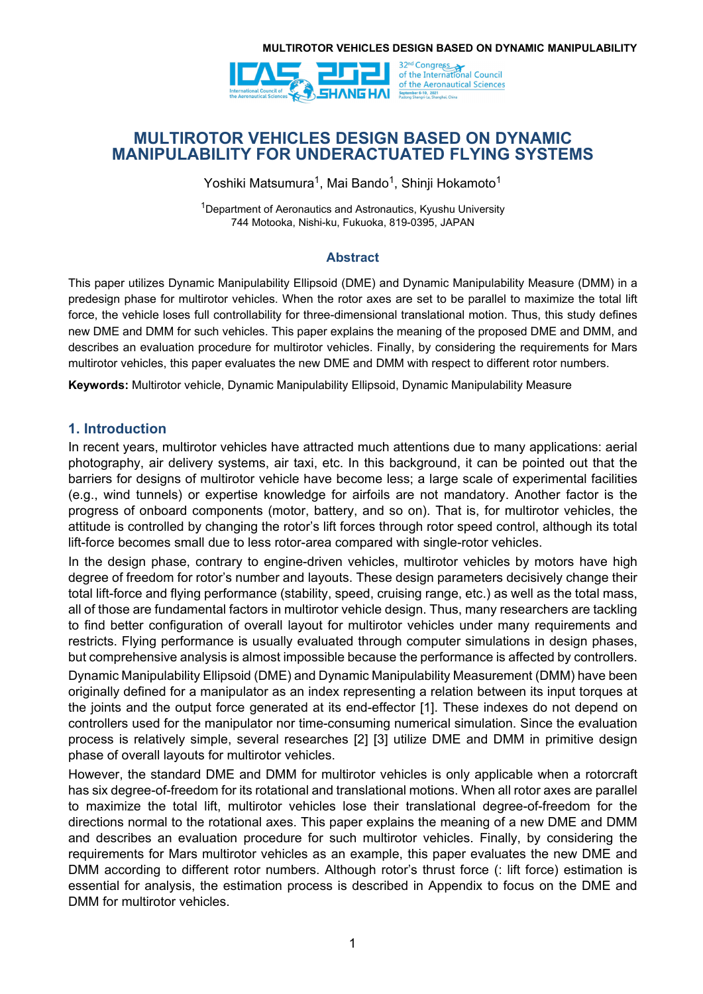

# **MULTIROTOR VEHICLES DESIGN BASED ON DYNAMIC MANIPULABILITY FOR UNDERACTUATED FLYING SYSTEMS**

Yoshiki Matsumura<sup>1</sup>, Mai Bando<sup>1</sup>, Shinji Hokamoto<sup>1</sup>

1Department of Aeronautics and Astronautics, Kyushu University 744 Motooka, Nishi-ku, Fukuoka, 819-0395, JAPAN

## **Abstract**

This paper utilizes Dynamic Manipulability Ellipsoid (DME) and Dynamic Manipulability Measure (DMM) in a predesign phase for multirotor vehicles. When the rotor axes are set to be parallel to maximize the total lift force, the vehicle loses full controllability for three-dimensional translational motion. Thus, this study defines new DME and DMM for such vehicles. This paper explains the meaning of the proposed DME and DMM, and describes an evaluation procedure for multirotor vehicles. Finally, by considering the requirements for Mars multirotor vehicles, this paper evaluates the new DME and DMM with respect to different rotor numbers.

**Keywords:** Multirotor vehicle, Dynamic Manipulability Ellipsoid, Dynamic Manipulability Measure

# **1. Introduction**

In recent years, multirotor vehicles have attracted much attentions due to many applications: aerial photography, air delivery systems, air taxi, etc. In this background, it can be pointed out that the barriers for designs of multirotor vehicle have become less; a large scale of experimental facilities (e.g., wind tunnels) or expertise knowledge for airfoils are not mandatory. Another factor is the progress of onboard components (motor, battery, and so on). That is, for multirotor vehicles, the attitude is controlled by changing the rotor's lift forces through rotor speed control, although its total lift-force becomes small due to less rotor-area compared with single-rotor vehicles.

In the design phase, contrary to engine-driven vehicles, multirotor vehicles by motors have high degree of freedom for rotor's number and layouts. These design parameters decisively change their total lift-force and flying performance (stability, speed, cruising range, etc.) as well as the total mass, all of those are fundamental factors in multirotor vehicle design. Thus, many researchers are tackling to find better configuration of overall layout for multirotor vehicles under many requirements and restricts. Flying performance is usually evaluated through computer simulations in design phases, but comprehensive analysis is almost impossible because the performance is affected by controllers.

Dynamic Manipulability Ellipsoid (DME) and Dynamic Manipulability Measurement (DMM) have been originally defined for a manipulator as an index representing a relation between its input torques at the joints and the output force generated at its end-effector [1]. These indexes do not depend on controllers used for the manipulator nor time-consuming numerical simulation. Since the evaluation process is relatively simple, several researches [2] [3] utilize DME and DMM in primitive design phase of overall layouts for multirotor vehicles.

However, the standard DME and DMM for multirotor vehicles is only applicable when a rotorcraft has six degree-of-freedom for its rotational and translational motions. When all rotor axes are parallel to maximize the total lift, multirotor vehicles lose their translational degree-of-freedom for the directions normal to the rotational axes. This paper explains the meaning of a new DME and DMM and describes an evaluation procedure for such multirotor vehicles. Finally, by considering the requirements for Mars multirotor vehicles as an example, this paper evaluates the new DME and DMM according to different rotor numbers. Although rotor's thrust force (: lift force) estimation is essential for analysis, the estimation process is described in Appendix to focus on the DME and DMM for multirotor vehicles.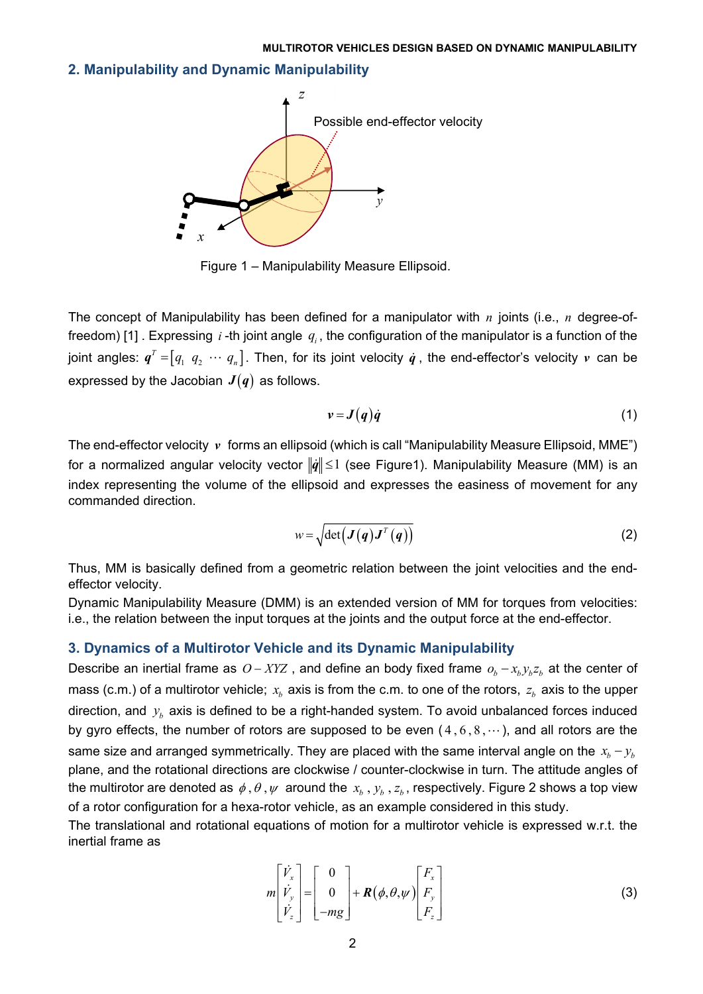### **2. Manipulability and Dynamic Manipulability**



Figure 1 – Manipulability Measure Ellipsoid.

The concept of Manipulability has been defined for a manipulator with *n* joints (i.e., *n* degree-offreedom) [1] . Expressing *i* -th joint angle  $q_i$ , the configuration of the manipulator is a function of the joint angles:  $\pmb{q}^T$  = $\left[q_1 ~~ q_2 ~~ \cdots ~~ q_n\right]$ . Then, for its joint velocity  $\pmb{q}$  , the end-effector's velocity  $\pmb{\nu}$  can be expressed by the Jacobian  $J(q)$  as follows.

$$
v = J(q)\dot{q} \tag{1}
$$

The end-effector velocity *v* forms an ellipsoid (which is call "Manipulability Measure Ellipsoid, MME") for a normalized angular velocity vector  $\|\dot{q}\| \leq 1$  (see Figure1). Manipulability Measure (MM) is an index representing the volume of the ellipsoid and expresses the easiness of movement for any commanded direction.

$$
w = \sqrt{\det\left(\boldsymbol{J}\left(\boldsymbol{q}\right)\boldsymbol{J}^{T}\left(\boldsymbol{q}\right)\right)}
$$
 (2)

Thus, MM is basically defined from a geometric relation between the joint velocities and the endeffector velocity.

Dynamic Manipulability Measure (DMM) is an extended version of MM for torques from velocities: i.e., the relation between the input torques at the joints and the output force at the end-effector.

### **3. Dynamics of a Multirotor Vehicle and its Dynamic Manipulability**

Describe an inertial frame as  $O - XYZ$ , and define an body fixed frame  $o_b - x_b y_b z_b$  at the center of mass (c.m.) of a multirotor vehicle;  $x<sub>b</sub>$  axis is from the c.m. to one of the rotors,  $z<sub>b</sub>$  axis to the upper direction, and  $y_b$  axis is defined to be a right-handed system. To avoid unbalanced forces induced by gyro effects, the number of rotors are supposed to be even  $(4,6,8,\cdots)$ , and all rotors are the same size and arranged symmetrically. They are placed with the same interval angle on the  $x_h - y_h$ plane, and the rotational directions are clockwise / counter-clockwise in turn. The attitude angles of the multirotor are denoted as  $\phi$ ,  $\theta$ ,  $\psi$  around the  $x_b$ ,  $y_b$ ,  $z_b$ , respectively. Figure 2 shows a top view of a rotor configuration for a hexa-rotor vehicle, as an example considered in this study.

The translational and rotational equations of motion for a multirotor vehicle is expressed w.r.t. the inertial frame as

$$
m\begin{bmatrix} \dot{V}_x \\ \dot{V}_y \\ \dot{V}_z \end{bmatrix} = \begin{bmatrix} 0 \\ 0 \\ -mg \end{bmatrix} + R(\phi, \theta, \psi) \begin{bmatrix} F_x \\ F_y \\ F_z \end{bmatrix}
$$
 (3)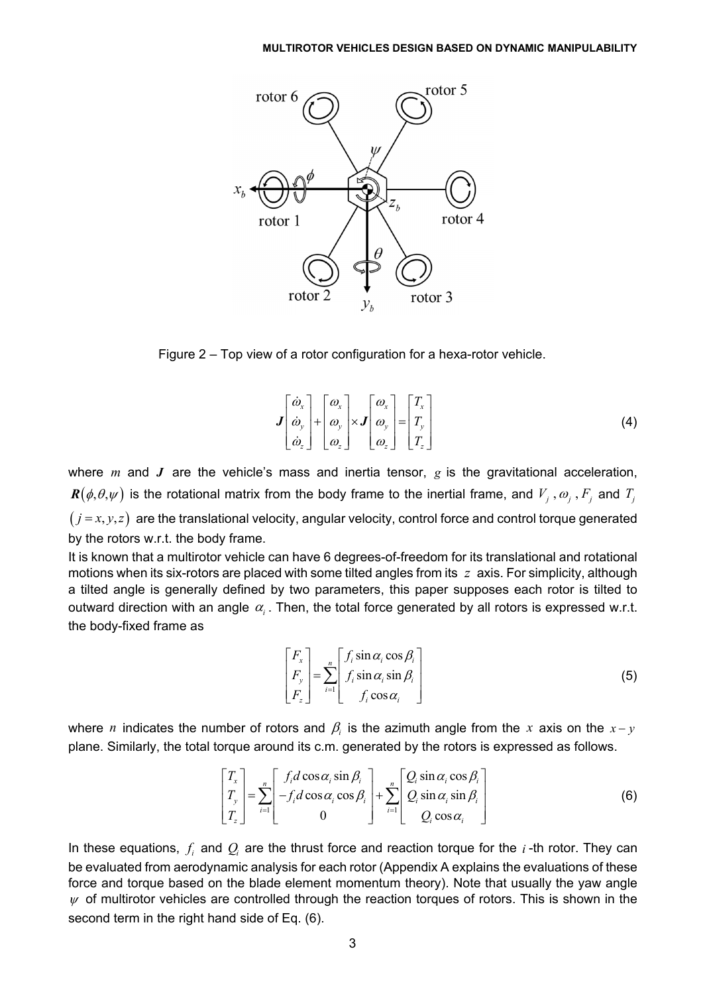

Figure 2 – Top view of a rotor configuration for a hexa-rotor vehicle.

$$
\boldsymbol{J} \begin{bmatrix} \dot{\boldsymbol{\omega}}_x \\ \dot{\boldsymbol{\omega}}_y \\ \dot{\boldsymbol{\omega}}_z \end{bmatrix} + \begin{bmatrix} \boldsymbol{\omega}_x \\ \boldsymbol{\omega}_y \\ \boldsymbol{\omega}_z \end{bmatrix} \times \boldsymbol{J} \begin{bmatrix} \boldsymbol{\omega}_x \\ \boldsymbol{\omega}_y \\ \boldsymbol{\omega}_z \end{bmatrix} = \begin{bmatrix} T_x \\ T_y \\ T_z \end{bmatrix}
$$
(4)

where *m* and *J* are the vehicle's mass and inertia tensor, *g* is the gravitational acceleration,  $\bm{R}(\phi,\theta,\psi)$  is the rotational matrix from the body frame to the inertial frame, and  $V_j$ ,  $\omega_j$ ,  $F_j$  and  $T_j$  $(j=x, y, z)$  are the translational velocity, angular velocity, control force and control torque generated by the rotors w.r.t. the body frame.

It is known that a multirotor vehicle can have 6 degrees-of-freedom for its translational and rotational motions when its six-rotors are placed with some tilted angles from its *z* axis. For simplicity, although a tilted angle is generally defined by two parameters, this paper supposes each rotor is tilted to outward direction with an angle  $\alpha$ . Then, the total force generated by all rotors is expressed w.r.t. the body-fixed frame as

$$
\begin{bmatrix} F_x \\ F_y \\ F_z \end{bmatrix} = \sum_{i=1}^n \begin{bmatrix} f_i \sin \alpha_i \cos \beta_i \\ f_i \sin \alpha_i \sin \beta_i \\ f_i \cos \alpha_i \end{bmatrix}
$$
 (5)

where *n* indicates the number of rotors and  $\beta$  is the azimuth angle from the *x* axis on the  $x - y$ plane. Similarly, the total torque around its c.m. generated by the rotors is expressed as follows.

$$
\begin{bmatrix} T_x \\ T_y \\ T_z \end{bmatrix} = \sum_{i=1}^n \begin{bmatrix} f_i d \cos \alpha_i \sin \beta_i \\ -f_i d \cos \alpha_i \cos \beta_i \\ 0 \end{bmatrix} + \sum_{i=1}^n \begin{bmatrix} Q_i \sin \alpha_i \cos \beta_i \\ Q_i \sin \alpha_i \sin \beta_i \\ Q_i \cos \alpha_i \end{bmatrix}
$$
 (6)

In these equations,  $f_i$  and  $Q_i$  are the thrust force and reaction torque for the  $i$ -th rotor. They can be evaluated from aerodynamic analysis for each rotor (Appendix A explains the evaluations of these force and torque based on the blade element momentum theory). Note that usually the yaw angle  $\psi$  of multirotor vehicles are controlled through the reaction torques of rotors. This is shown in the second term in the right hand side of Eq. (6).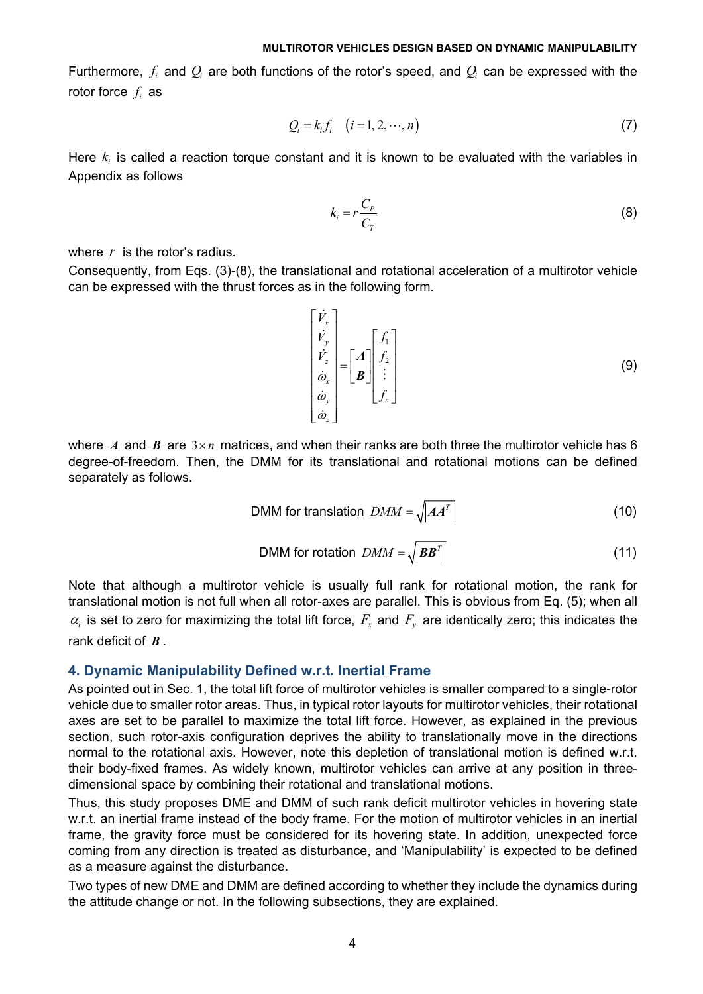Furthermore,  $f_i$  and  $Q_i$  are both functions of the rotor's speed, and  $Q_i$  can be expressed with the rotor force  $f_i$  as

$$
Q_i = k_i f_i \quad (i = 1, 2, \cdots, n)
$$
\n
$$
(7)
$$

Here  $k_i$  is called a reaction torque constant and it is known to be evaluated with the variables in Appendix as follows

$$
k_i = r \frac{C_p}{C_T} \tag{8}
$$

where *r* is the rotor's radius.

Consequently, from Eqs. (3)-(8), the translational and rotational acceleration of a multirotor vehicle can be expressed with the thrust forces as in the following form.

$$
\begin{bmatrix} \dot{V}_x \\ \dot{V}_y \\ \dot{\omega}_x \\ \dot{\omega}_y \\ \dot{\omega}_z \end{bmatrix} = \begin{bmatrix} A \\ B \end{bmatrix} \begin{bmatrix} f_1 \\ f_2 \\ \vdots \\ f_n \end{bmatrix}
$$
 (9)

where *A* and *B* are  $3 \times n$  matrices, and when their ranks are both three the multirotor vehicle has 6 degree-of-freedom. Then, the DMM for its translational and rotational motions can be defined separately as follows.

$$
DMM for translation \quad DMM = \sqrt{|AA^T|} \tag{10}
$$

$$
DMM for rotation \text{ } DMM = \sqrt{|BB^T|}
$$
 (11)

Note that although a multirotor vehicle is usually full rank for rotational motion, the rank for translational motion is not full when all rotor-axes are parallel. This is obvious from Eq. (5); when all  $\alpha_i$  is set to zero for maximizing the total lift force,  $F_x$  and  $F_y$  are identically zero; this indicates the rank deficit of *B* .

### **4. Dynamic Manipulability Defined w.r.t. Inertial Frame**

As pointed out in Sec. 1, the total lift force of multirotor vehicles is smaller compared to a single-rotor vehicle due to smaller rotor areas. Thus, in typical rotor layouts for multirotor vehicles, their rotational axes are set to be parallel to maximize the total lift force. However, as explained in the previous section, such rotor-axis configuration deprives the ability to translationally move in the directions normal to the rotational axis. However, note this depletion of translational motion is defined w.r.t. their body-fixed frames. As widely known, multirotor vehicles can arrive at any position in threedimensional space by combining their rotational and translational motions.

Thus, this study proposes DME and DMM of such rank deficit multirotor vehicles in hovering state w.r.t. an inertial frame instead of the body frame. For the motion of multirotor vehicles in an inertial frame, the gravity force must be considered for its hovering state. In addition, unexpected force coming from any direction is treated as disturbance, and 'Manipulability' is expected to be defined as a measure against the disturbance.

Two types of new DME and DMM are defined according to whether they include the dynamics during the attitude change or not. In the following subsections, they are explained.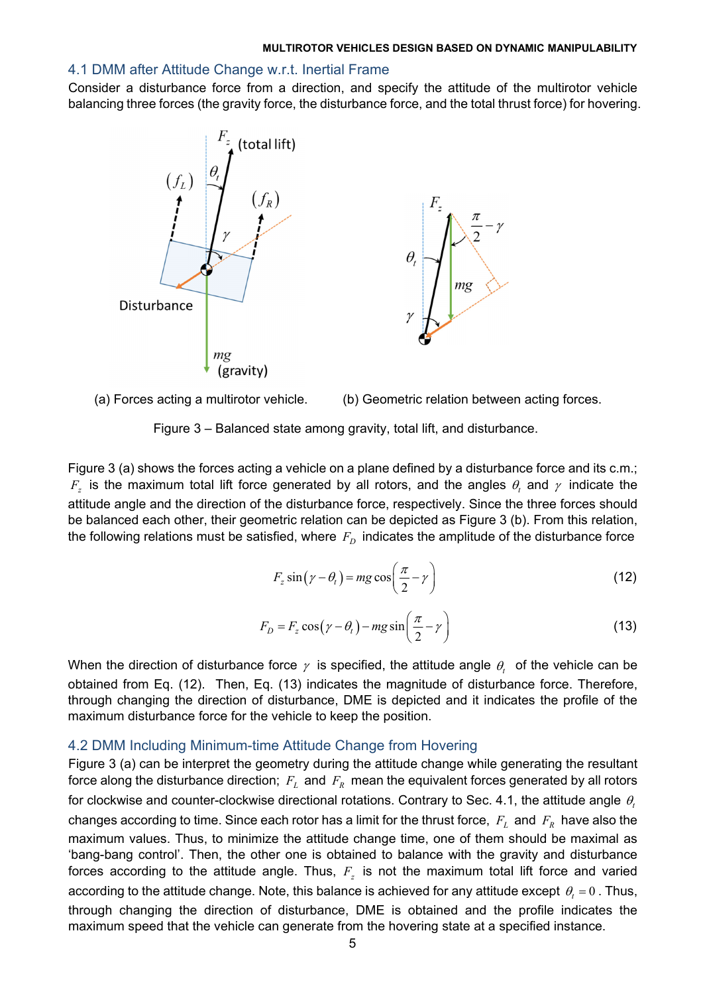## 4.1 DMM after Attitude Change w.r.t. Inertial Frame

Consider a disturbance force from a direction, and specify the attitude of the multirotor vehicle balancing three forces (the gravity force, the disturbance force, and the total thrust force) for hovering.



(a) Forces acting a multirotor vehicle. (b) Geometric relation between acting forces.



Figure 3 (a) shows the forces acting a vehicle on a plane defined by a disturbance force and its c.m.;  $F<sub>z</sub>$  is the maximum total lift force generated by all rotors, and the angles  $\theta<sub>t</sub>$  and  $\gamma$  indicate the attitude angle and the direction of the disturbance force, respectively. Since the three forces should be balanced each other, their geometric relation can be depicted as Figure 3 (b). From this relation, the following relations must be satisfied, where  $F<sub>D</sub>$  indicates the amplitude of the disturbance force

$$
F_z \sin(\gamma - \theta_t) = mg \cos\left(\frac{\pi}{2} - \gamma\right)
$$
 (12)

$$
F_D = F_z \cos(\gamma - \theta_t) - mg \sin\left(\frac{\pi}{2} - \gamma\right)
$$
\n(13)

When the direction of disturbance force  $\gamma$  is specified, the attitude angle  $\theta$ , of the vehicle can be obtained from Eq. (12). Then, Eq. (13) indicates the magnitude of disturbance force. Therefore, through changing the direction of disturbance, DME is depicted and it indicates the profile of the maximum disturbance force for the vehicle to keep the position.

## 4.2 DMM Including Minimum-time Attitude Change from Hovering

Figure 3 (a) can be interpret the geometry during the attitude change while generating the resultant force along the disturbance direction;  $F_L$  and  $F_R$  mean the equivalent forces generated by all rotors for clockwise and counter-clockwise directional rotations. Contrary to Sec. 4.1, the attitude angle  $\theta_t$ changes according to time. Since each rotor has a limit for the thrust force,  $F<sub>L</sub>$  and  $F<sub>R</sub>$  have also the maximum values. Thus, to minimize the attitude change time, one of them should be maximal as 'bang-bang control'. Then, the other one is obtained to balance with the gravity and disturbance forces according to the attitude angle. Thus,  $F<sub>z</sub>$  is not the maximum total lift force and varied according to the attitude change. Note, this balance is achieved for any attitude except  $\theta_t = 0$ . Thus, through changing the direction of disturbance, DME is obtained and the profile indicates the maximum speed that the vehicle can generate from the hovering state at a specified instance.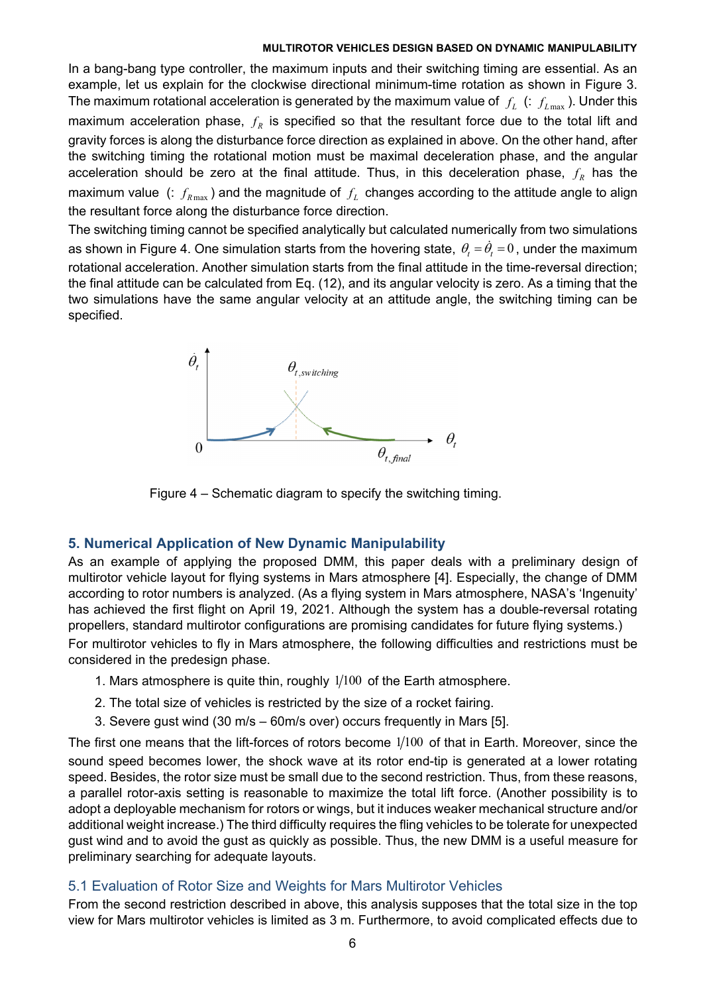In a bang-bang type controller, the maximum inputs and their switching timing are essential. As an example, let us explain for the clockwise directional minimum-time rotation as shown in Figure 3. The maximum rotational acceleration is generated by the maximum value of  $f_L$  (:  $f_{L\text{max}}$ ). Under this maximum acceleration phase,  $f_R$  is specified so that the resultant force due to the total lift and gravity forces is along the disturbance force direction as explained in above. On the other hand, after the switching timing the rotational motion must be maximal deceleration phase, and the angular acceleration should be zero at the final attitude. Thus, in this deceleration phase,  $f_R$  has the maximum value (:  $f_{R_{\text{max}}}$ ) and the magnitude of  $f_L$  changes according to the attitude angle to align the resultant force along the disturbance force direction.

The switching timing cannot be specified analytically but calculated numerically from two simulations as shown in Figure 4. One simulation starts from the hovering state,  $\theta_t = \dot{\theta}_t = 0$ , under the maximum rotational acceleration. Another simulation starts from the final attitude in the time-reversal direction; the final attitude can be calculated from Eq. (12), and its angular velocity is zero. As a timing that the two simulations have the same angular velocity at an attitude angle, the switching timing can be specified.



Figure 4 – Schematic diagram to specify the switching timing.

# **5. Numerical Application of New Dynamic Manipulability**

As an example of applying the proposed DMM, this paper deals with a preliminary design of multirotor vehicle layout for flying systems in Mars atmosphere [4]. Especially, the change of DMM according to rotor numbers is analyzed. (As a flying system in Mars atmosphere, NASA's 'Ingenuity' has achieved the first flight on April 19, 2021. Although the system has a double-reversal rotating propellers, standard multirotor configurations are promising candidates for future flying systems.)

For multirotor vehicles to fly in Mars atmosphere, the following difficulties and restrictions must be considered in the predesign phase.

- 1. Mars atmosphere is quite thin, roughly  $1/100$  of the Earth atmosphere.
- 2. The total size of vehicles is restricted by the size of a rocket fairing.
- 3. Severe gust wind (30 m/s 60m/s over) occurs frequently in Mars [5].

The first one means that the lift-forces of rotors become  $1/100$  of that in Earth. Moreover, since the sound speed becomes lower, the shock wave at its rotor end-tip is generated at a lower rotating speed. Besides, the rotor size must be small due to the second restriction. Thus, from these reasons, a parallel rotor-axis setting is reasonable to maximize the total lift force. (Another possibility is to adopt a deployable mechanism for rotors or wings, but it induces weaker mechanical structure and/or additional weight increase.) The third difficulty requires the fling vehicles to be tolerate for unexpected gust wind and to avoid the gust as quickly as possible. Thus, the new DMM is a useful measure for preliminary searching for adequate layouts.

# 5.1 Evaluation of Rotor Size and Weights for Mars Multirotor Vehicles

From the second restriction described in above, this analysis supposes that the total size in the top view for Mars multirotor vehicles is limited as 3 m. Furthermore, to avoid complicated effects due to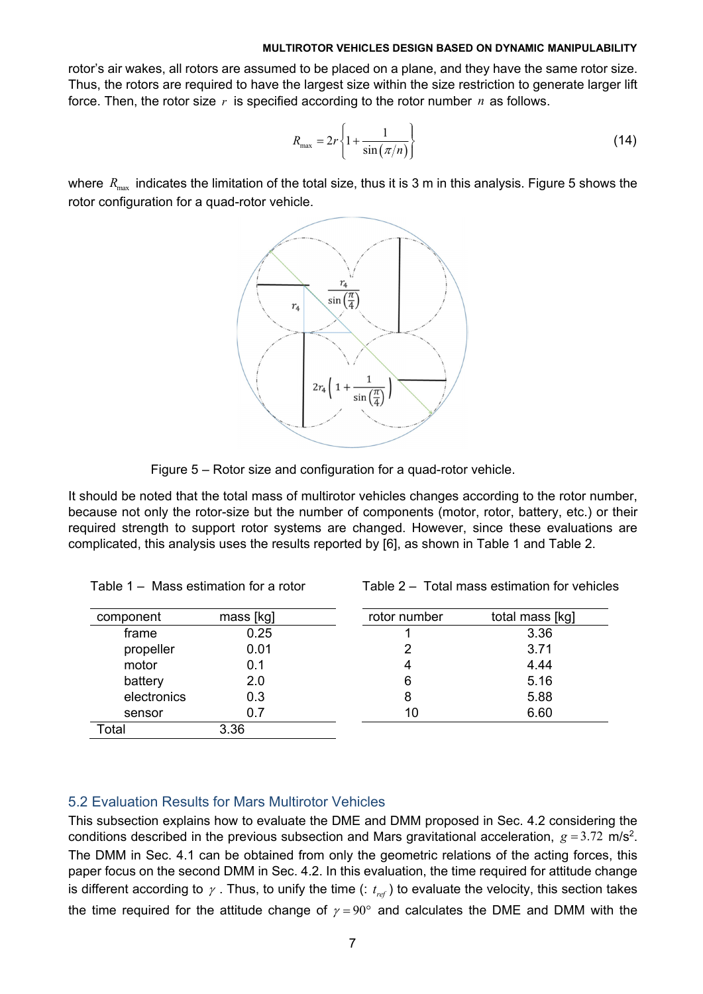rotor's air wakes, all rotors are assumed to be placed on a plane, and they have the same rotor size. Thus, the rotors are required to have the largest size within the size restriction to generate larger lift force. Then, the rotor size *r* is specified according to the rotor number *n* as follows.

$$
R_{\max} = 2r \left\{ 1 + \frac{1}{\sin(\pi/n)} \right\} \tag{14}
$$

where  $R_{\text{max}}$  indicates the limitation of the total size, thus it is 3 m in this analysis. Figure 5 shows the rotor configuration for a quad-rotor vehicle.



Figure 5 – Rotor size and configuration for a quad-rotor vehicle.

It should be noted that the total mass of multirotor vehicles changes according to the rotor number, because not only the rotor-size but the number of components (motor, rotor, battery, etc.) or their required strength to support rotor systems are changed. However, since these evaluations are complicated, this analysis uses the results reported by [6], as shown in Table 1 and Table 2.

| Table 1 – Mass estimation for a rotor |  |  |  |  |  |
|---------------------------------------|--|--|--|--|--|
|---------------------------------------|--|--|--|--|--|

Table 2 – Total mass estimation for vehicles

| component   | mass [kg] | rotor number | total mass [kg] |
|-------------|-----------|--------------|-----------------|
| frame       | 0.25      |              | 3.36            |
| propeller   | 0.01      |              | 3.71            |
| motor       | 0.1       | 4            | 4.44            |
| battery     | 2.0       | 6            | 5.16            |
| electronics | 0.3       | 8            | 5.88            |
| sensor      | 0.7       | 10           | 6.60            |
| Total       | 3.36      |              |                 |

## 5.2 Evaluation Results for Mars Multirotor Vehicles

This subsection explains how to evaluate the DME and DMM proposed in Sec. 4.2 considering the conditions described in the previous subsection and Mars gravitational acceleration,  $g = 3.72$  m/s<sup>2</sup>. The DMM in Sec. 4.1 can be obtained from only the geometric relations of the acting forces, this paper focus on the second DMM in Sec. 4.2. In this evaluation, the time required for attitude change is different according to  $\gamma$ . Thus, to unify the time (:  $t_{ref}$ ) to evaluate the velocity, this section takes the time required for the attitude change of  $\gamma = 90^{\circ}$  and calculates the DME and DMM with the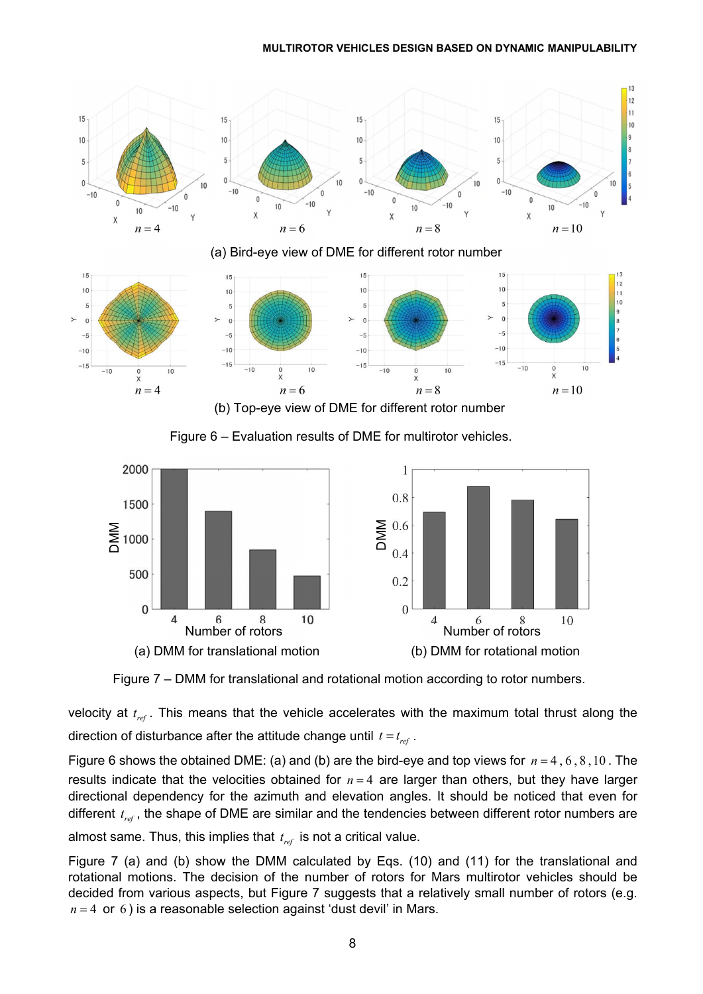

Figure 6 – Evaluation results of DME for multirotor vehicles.



Figure 7 – DMM for translational and rotational motion according to rotor numbers.

velocity at  $t_{ref}$ . This means that the vehicle accelerates with the maximum total thrust along the direction of disturbance after the attitude change until  $t = t_{ref}$ .

Figure 6 shows the obtained DME: (a) and (b) are the bird-eye and top views for  $n = 4, 6, 8, 10$ . The results indicate that the velocities obtained for  $n = 4$  are larger than others, but they have larger directional dependency for the azimuth and elevation angles. It should be noticed that even for different  $t_{ref}$ , the shape of DME are similar and the tendencies between different rotor numbers are

almost same. Thus, this implies that  $t_{ref}$  is not a critical value.

Figure 7 (a) and (b) show the DMM calculated by Eqs. (10) and (11) for the translational and rotational motions. The decision of the number of rotors for Mars multirotor vehicles should be decided from various aspects, but Figure 7 suggests that a relatively small number of rotors (e.g.  $n = 4$  or 6) is a reasonable selection against 'dust devil' in Mars.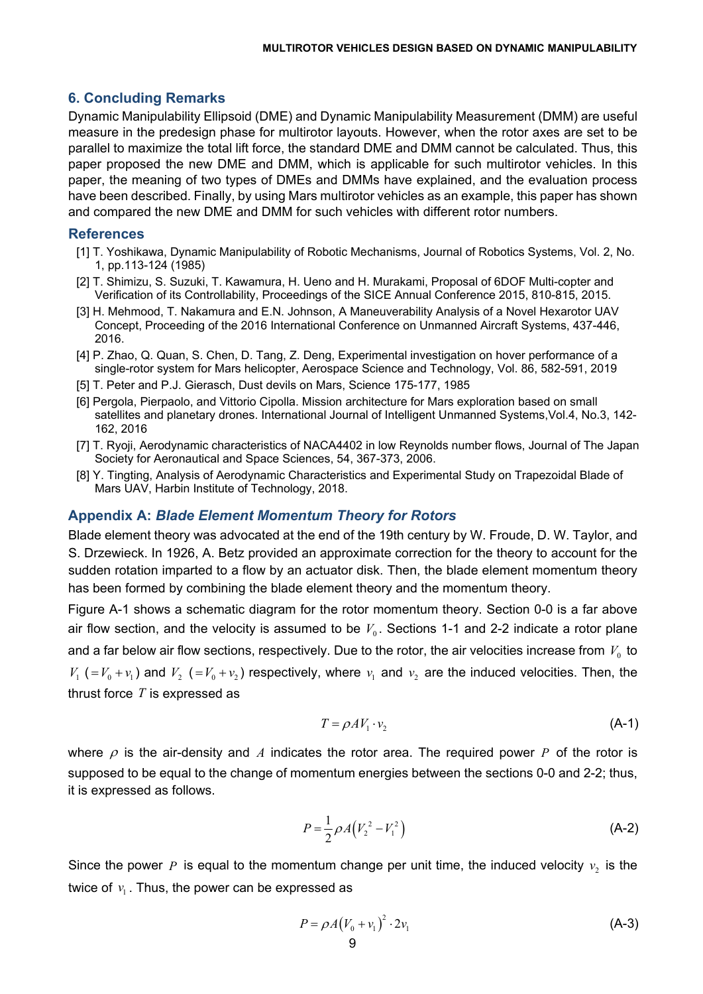## **6. Concluding Remarks**

Dynamic Manipulability Ellipsoid (DME) and Dynamic Manipulability Measurement (DMM) are useful measure in the predesign phase for multirotor layouts. However, when the rotor axes are set to be parallel to maximize the total lift force, the standard DME and DMM cannot be calculated. Thus, this paper proposed the new DME and DMM, which is applicable for such multirotor vehicles. In this paper, the meaning of two types of DMEs and DMMs have explained, and the evaluation process have been described. Finally, by using Mars multirotor vehicles as an example, this paper has shown and compared the new DME and DMM for such vehicles with different rotor numbers.

### **References**

- [1] T. Yoshikawa, Dynamic Manipulability of Robotic Mechanisms, Journal of Robotics Systems, Vol. 2, No. 1, pp.113-124 (1985)
- [2] T. Shimizu, S. Suzuki, T. Kawamura, H. Ueno and H. Murakami, Proposal of 6DOF Multi-copter and Verification of its Controllability, Proceedings of the SICE Annual Conference 2015, 810-815, 2015.
- [3] H. Mehmood, T. Nakamura and E.N. Johnson, A Maneuverability Analysis of a Novel Hexarotor UAV Concept, Proceeding of the 2016 International Conference on Unmanned Aircraft Systems, 437-446, 2016.
- [4] P. Zhao, Q. Quan, S. Chen, D. Tang, Z. Deng, Experimental investigation on hover performance of a single-rotor system for Mars helicopter, Aerospace Science and Technology, Vol. 86, 582-591, 2019
- [5] T. Peter and P.J. Gierasch, Dust devils on Mars, Science 175-177, 1985
- [6] Pergola, Pierpaolo, and Vittorio Cipolla. Mission architecture for Mars exploration based on small satellites and planetary drones. International Journal of Intelligent Unmanned Systems, Vol.4, No.3, 142-162, 2016
- [7] T. Ryoji, Aerodynamic characteristics of NACA4402 in low Reynolds number flows, Journal of The Japan Society for Aeronautical and Space Sciences, 54, 367-373, 2006.
- [8] Y. Tingting, Analysis of Aerodynamic Characteristics and Experimental Study on Trapezoidal Blade of Mars UAV, Harbin Institute of Technology, 2018.

### **Appendix A:** *Blade Element Momentum Theory for Rotors*

Blade element theory was advocated at the end of the 19th century by W. Froude, D. W. Taylor, and S. Drzewieck. In 1926, A. Betz provided an approximate correction for the theory to account for the sudden rotation imparted to a flow by an actuator disk. Then, the blade element momentum theory has been formed by combining the blade element theory and the momentum theory.

Figure A-1 shows a schematic diagram for the rotor momentum theory. Section 0-0 is a far above air flow section, and the velocity is assumed to be  $V_0$ . Sections 1-1 and 2-2 indicate a rotor plane and a far below air flow sections, respectively. Due to the rotor, the air velocities increase from  $V_0$  to  $V_1$  ( $=V_0 + v_1$ ) and  $V_2$  ( $=V_0 + v_2$ ) respectively, where  $v_1$  and  $v_2$  are the induced velocities. Then, the thrust force *T* is expressed as

$$
T = \rho A V_1 \cdot v_2 \tag{A-1}
$$

where  $\rho$  is the air-density and *A* indicates the rotor area. The required power *P* of the rotor is supposed to be equal to the change of momentum energies between the sections 0-0 and 2-2; thus, it is expressed as follows.

$$
P = \frac{1}{2} \rho A (V_2^2 - V_1^2)
$$
 (A-2)

Since the power P is equal to the momentum change per unit time, the induced velocity  $v<sub>2</sub>$  is the twice of  $v_1$ . Thus, the power can be expressed as

$$
P = \rho A (V_0 + v_1)^2 \cdot 2v_1 \tag{A-3}
$$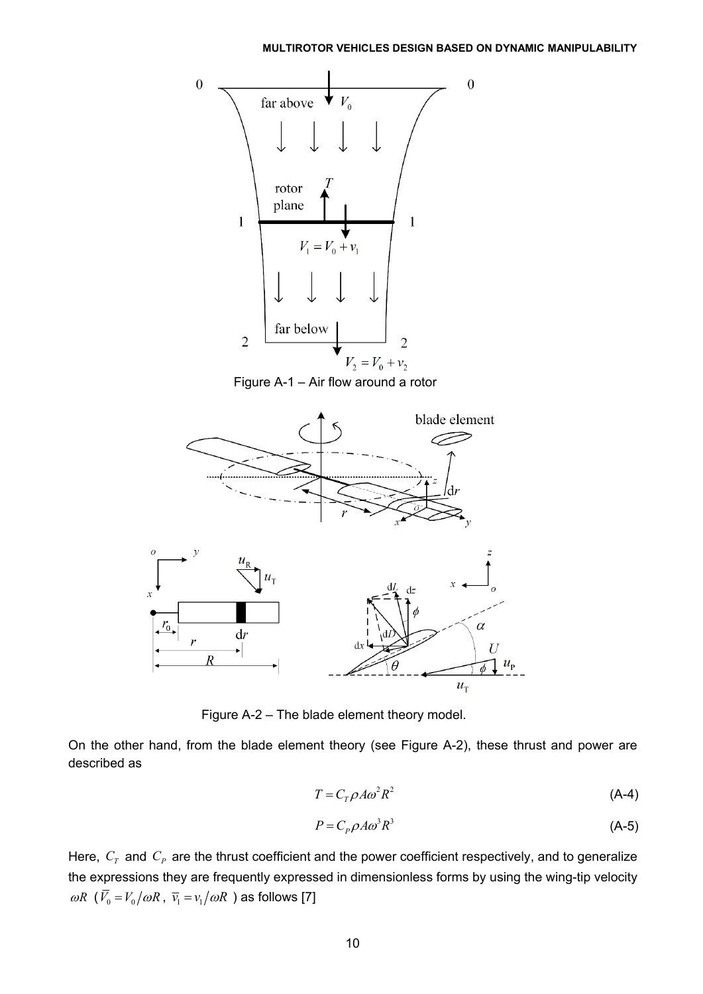



Figure A-2 – The blade element theory model.

On the other hand, from the blade element theory (see Figure A-2), these thrust and power are described as

$$
T = C_T \rho A \omega^2 R^2 \tag{A-4}
$$

$$
P = C_p \rho A \omega^3 R^3 \tag{A-5}
$$

Here,  $C_T$  and  $C_P$  are the thrust coefficient and the power coefficient respectively, and to generalize the expressions they are frequently expressed in dimensionless forms by using the wing-tip velocity  $\omega R$  ( $\bar{V}_0 = V_0 / \omega R$ ,  $\bar{v}_1 = v_1 / \omega R$ ) as follows [7]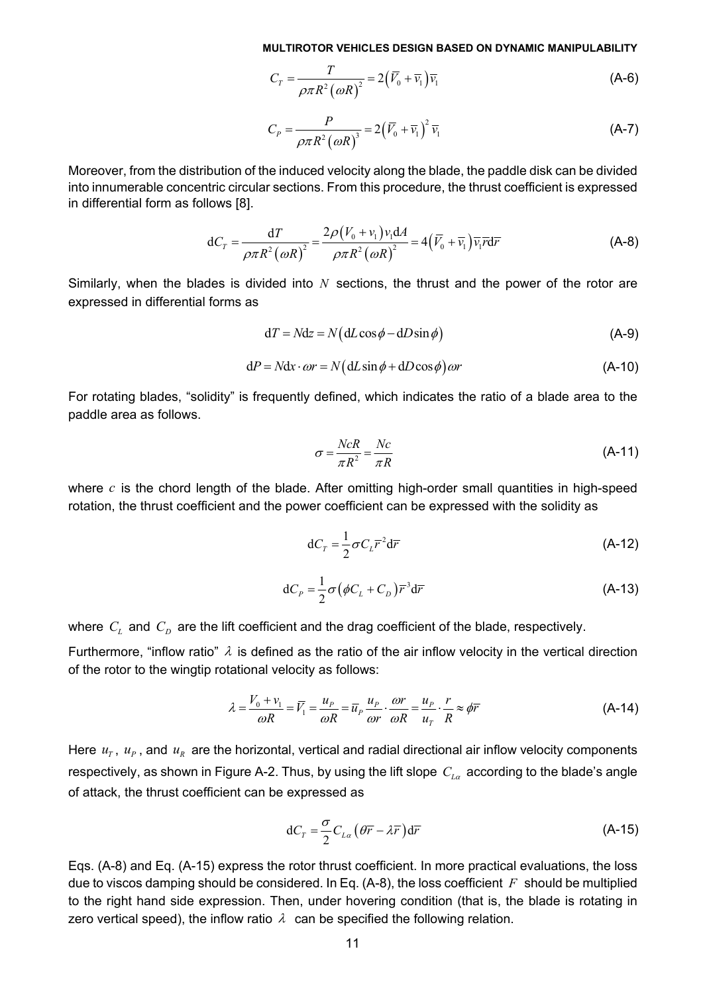$$
C_T = \frac{T}{\rho \pi R^2 (\omega R)^2} = 2(\overline{V}_0 + \overline{v}_1)\overline{v}_1
$$
 (A-6)

$$
C_P = \frac{P}{\rho \pi R^2 (\omega R)^3} = 2(\bar{V}_0 + \bar{v}_1)^2 \bar{v}_1
$$
 (A-7)

Moreover, from the distribution of the induced velocity along the blade, the paddle disk can be divided into innumerable concentric circular sections. From this procedure, the thrust coefficient is expressed in differential form as follows [8].

$$
dC_T = \frac{dT}{\rho \pi R^2 (\omega R)^2} = \frac{2\rho (V_0 + v_1) v_1 dA}{\rho \pi R^2 (\omega R)^2} = 4(\overline{V}_0 + \overline{v}_1) \overline{v}_1 \overline{r} d\overline{r}
$$
(A-8)

Similarly, when the blades is divided into *N* sections, the thrust and the power of the rotor are expressed in differential forms as

$$
dT = Ndz = N(dL\cos\phi - dD\sin\phi)
$$
 (A-9)

$$
dP = Ndx \cdot \omega r = N \left( dL \sin \phi + dD \cos \phi \right) \omega r \tag{A-10}
$$

For rotating blades, "solidity" is frequently defined, which indicates the ratio of a blade area to the paddle area as follows.

$$
\sigma = \frac{NcR}{\pi R^2} = \frac{Nc}{\pi R}
$$
 (A-11)

where *c* is the chord length of the blade. After omitting high-order small quantities in high-speed rotation, the thrust coefficient and the power coefficient can be expressed with the solidity as

$$
dC_T = \frac{1}{2}\sigma C_L \overline{r}^2 d\overline{r}
$$
 (A-12)

$$
dC_P = \frac{1}{2}\sigma(\phi C_L + C_D)\overline{r}^3 d\overline{r}
$$
 (A-13)

where  $C_L$  and  $C_D$  are the lift coefficient and the drag coefficient of the blade, respectively.

Furthermore, "inflow ratio"  $\lambda$  is defined as the ratio of the air inflow velocity in the vertical direction of the rotor to the wingtip rotational velocity as follows:

$$
\lambda = \frac{V_0 + v_1}{\omega R} = \overline{V_1} = \frac{u_P}{\omega R} = \overline{u}_P \frac{u_P}{\omega r} \cdot \frac{\omega r}{\omega R} = \frac{u_P}{u_T} \cdot \frac{r}{R} \approx \phi \overline{r}
$$
(A-14)

Here  $u_T$ ,  $u_P$ , and  $u_R$  are the horizontal, vertical and radial directional air inflow velocity components respectively, as shown in Figure A-2. Thus, by using the lift slope  $C_{L\alpha}$  according to the blade's angle of attack, the thrust coefficient can be expressed as

$$
dC_T = \frac{\sigma}{2} C_{L\alpha} \left( \theta \overline{r} - \lambda \overline{r} \right) d\overline{r}
$$
 (A-15)

Eqs. (A-8) and Eq. (A-15) express the rotor thrust coefficient. In more practical evaluations, the loss due to viscos damping should be considered. In Eq. (A-8), the loss coefficient *F* should be multiplied to the right hand side expression. Then, under hovering condition (that is, the blade is rotating in zero vertical speed), the inflow ratio  $\lambda$  can be specified the following relation.